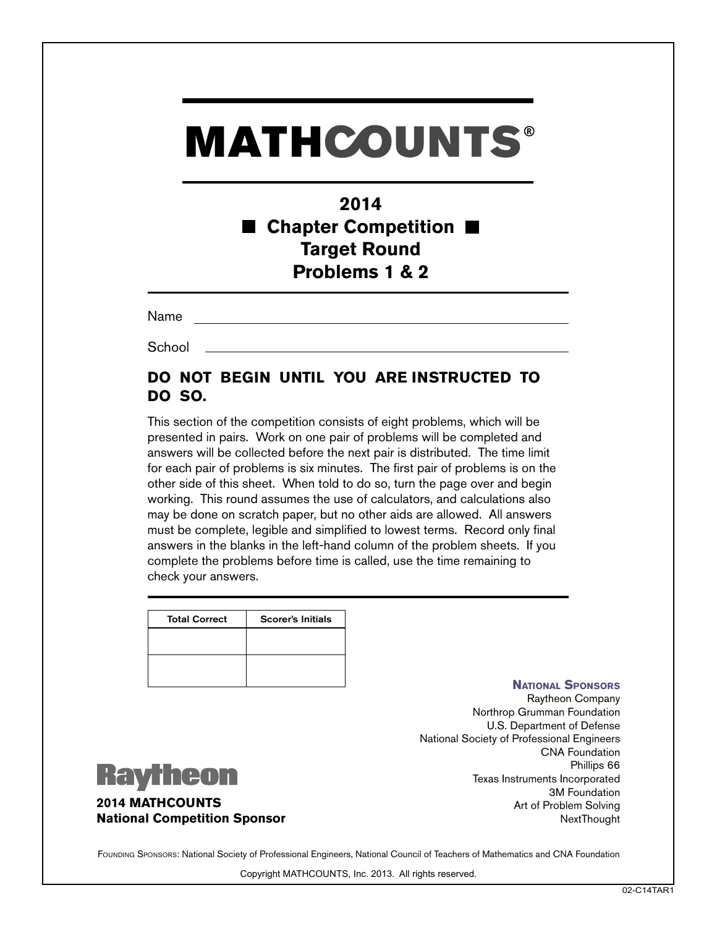# **MATHCOUNTS®**

## **2014 Chapter Competition Target Round Problems 1 & 2**

Name

**School** 

### **DO NOT BEGIN UNTIL YOU ARE INSTRUCTED TO DO SO.**

This section of the competition consists of eight problems, which will be presented in pairs. Work on one pair of problems will be completed and answers will be collected before the next pair is distributed. The time limit for each pair of problems is six minutes. The first pair of problems is on the other side of this sheet. When told to do so, turn the page over and begin working. This round assumes the use of calculators, and calculations also may be done on scratch paper, but no other aids are allowed. All answers must be complete, legible and simplified to lowest terms. Record only final answers in the blanks in the left-hand column of the problem sheets. If you complete the problems before time is called, use the time remaining to check your answers.

| <b>Total Correct</b> | <b>Scorer's Initials</b> |
|----------------------|--------------------------|
|                      |                          |
|                      |                          |
|                      |                          |

#### **National Sponsors**

Raytheon Company Northrop Grumman Foundation U.S. Department of Defense National Society of Professional Engineers CNA Foundation Phillips 66 Texas Instruments Incorporated 3M Foundation Art of Problem Solving **NextThought** 



**2014 MATHCOUNTS National Competition Sponsor**

FOUNDING SPONSORS: National Society of Professional Engineers, National Council of Teachers of Mathematics and CNA Foundation

Copyright MATHCOUNTS, Inc. 2013. All rights reserved.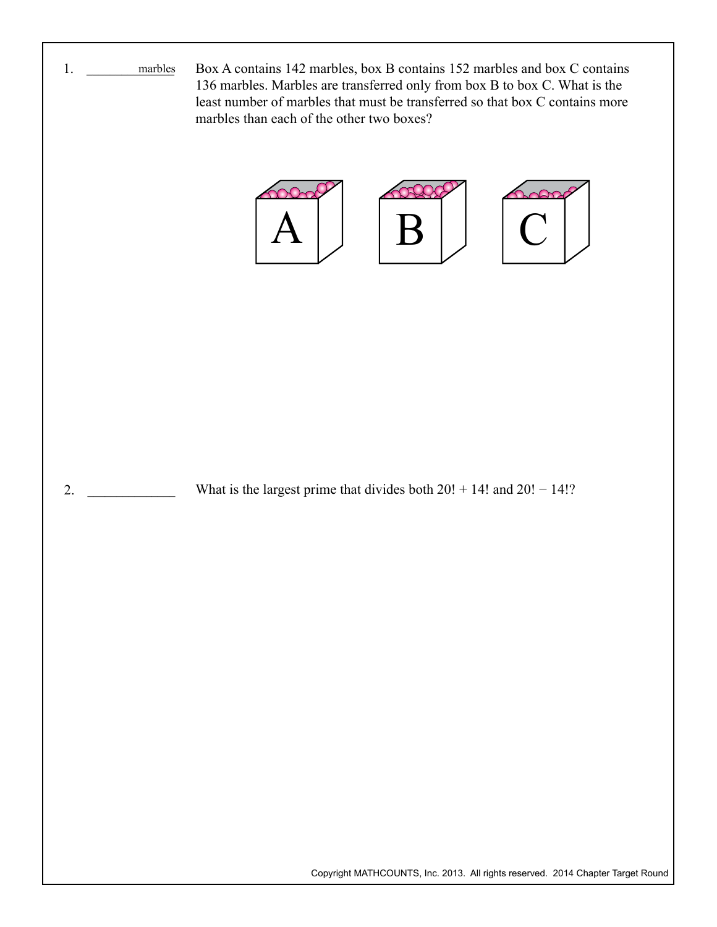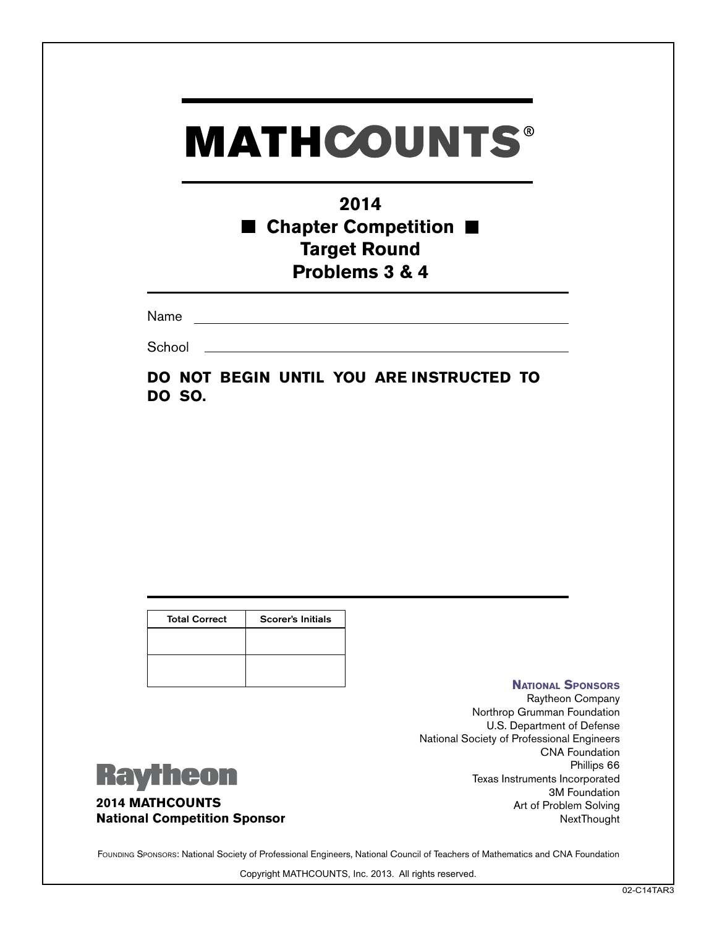## **2014** ■ Chapter Competition ■ **Target Round Problems 3 & 4**

Name

**School** 

**DO NOT BEGIN UNTIL YOU ARE INSTRUCTED TO DO SO.**

| <b>Total Correct</b> | <b>Scorer's Initials</b> |
|----------------------|--------------------------|
|                      |                          |
|                      |                          |
|                      |                          |

#### **National Sponsors**

Raytheon Company Northrop Grumman Foundation U.S. Department of Defense National Society of Professional Engineers CNA Foundation Phillips 66 Texas Instruments Incorporated 3M Foundation Art of Problem Solving NextThought



**2014 MATHCOUNTS National Competition Sponsor**

FOUNDING SPONSORS: National Society of Professional Engineers, National Council of Teachers of Mathematics and CNA Foundation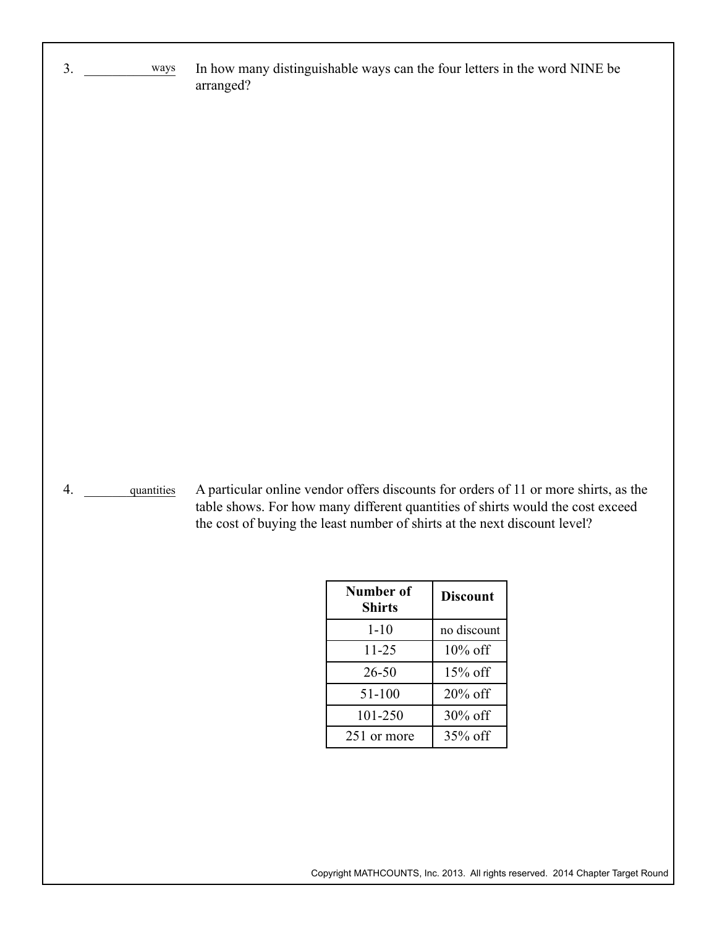In how many distinguishable ways can the four letters in the word NINE be arranged? ways

4. \_\_\_\_\_\_\_\_\_\_\_\_\_ quantities

 $3.$ 

A particular online vendor offers discounts for orders of 11 or more shirts, as the table shows. For how many different quantities of shirts would the cost exceed the cost of buying the least number of shirts at the next discount level?

| Number of<br>Shirts | <b>Discount</b> |
|---------------------|-----------------|
| $1 - 10$            | no discount     |
| 11-25               | $10\%$ off      |
| 26-50               | $15\%$ off      |
| 51-100              | $20\%$ off      |
| 101-250             | 30% off         |
| 251 or more         | $35\%$ off      |

Copyright MATHCOUNTS, Inc. 2013. All rights reserved. 2014 Chapter Target Round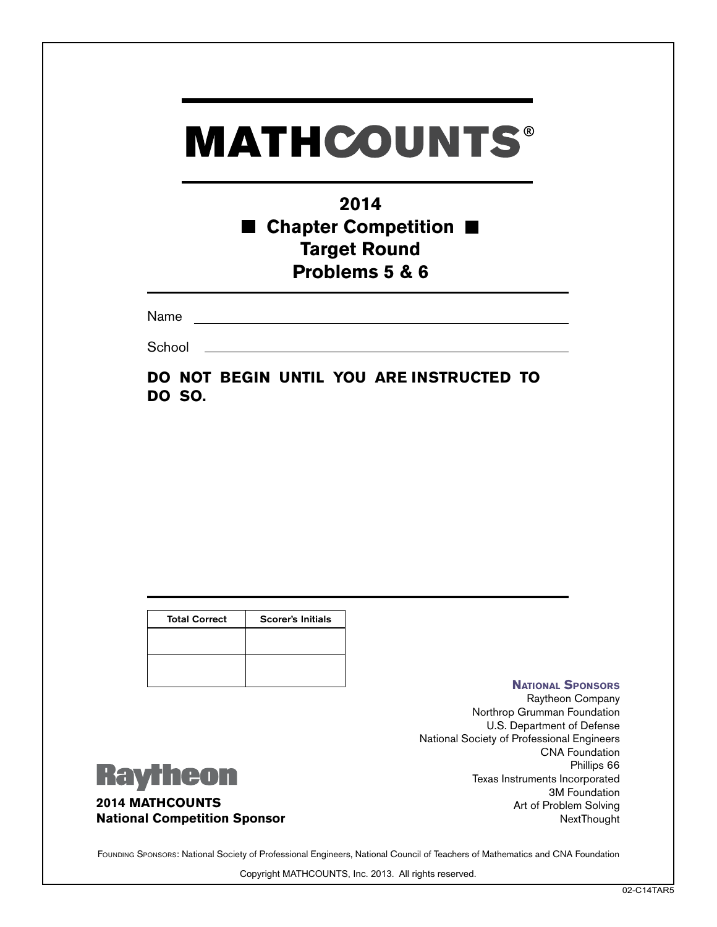## **2014** ■ Chapter Competition ■ **Target Round Problems 5 & 6**

Name

**School** 

**DO NOT BEGIN UNTIL YOU ARE INSTRUCTED TO DO SO.**

| <b>Total Correct</b> | <b>Scorer's Initials</b> |
|----------------------|--------------------------|
|                      |                          |
|                      |                          |
|                      |                          |

#### **National Sponsors**

Raytheon Company Northrop Grumman Foundation U.S. Department of Defense National Society of Professional Engineers CNA Foundation Phillips 66 Texas Instruments Incorporated 3M Foundation Art of Problem Solving NextThought



**2014 MATHCOUNTS National Competition Sponsor**

FOUNDING SPONSORS: National Society of Professional Engineers, National Council of Teachers of Mathematics and CNA Foundation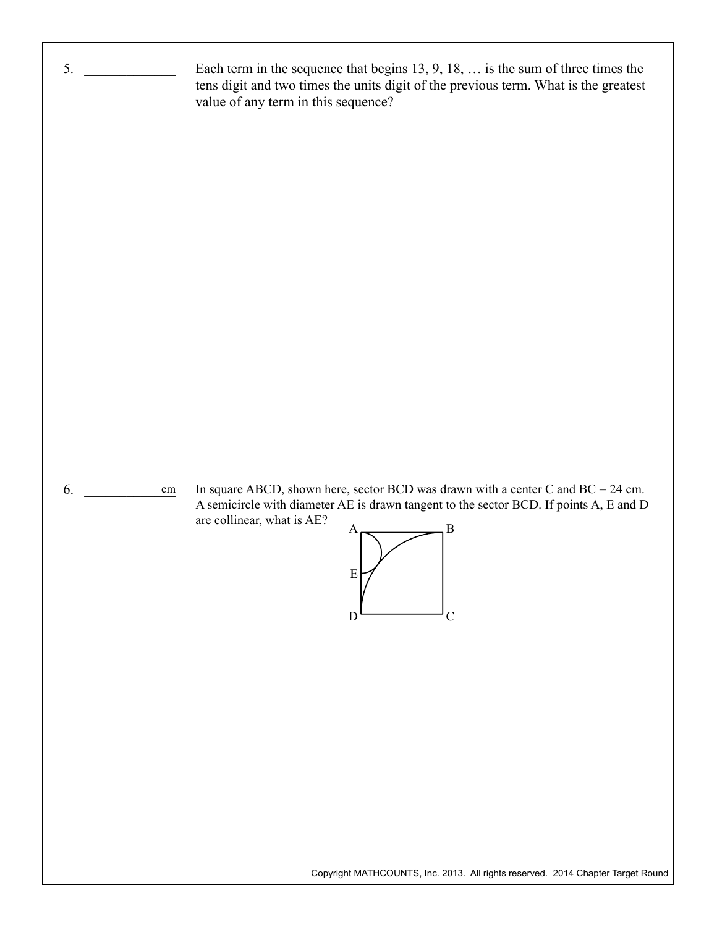

Copyright MATHCOUNTS, Inc. 2013. All rights reserved. 2014 Chapter Target Round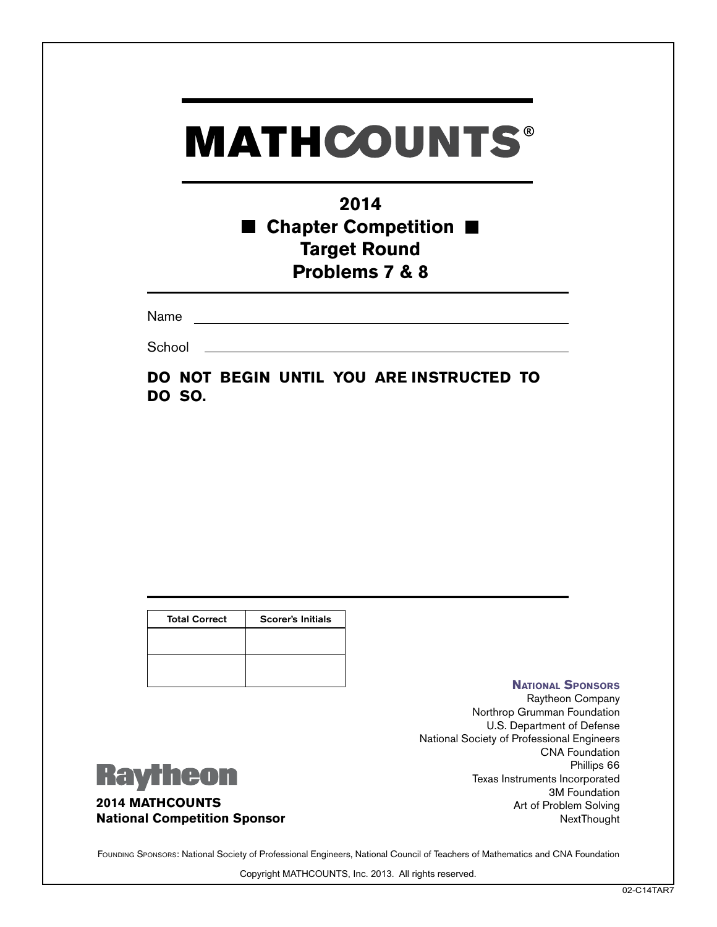## **2014** ■ Chapter Competition ■ **Target Round Problems 7 & 8**

Name

**School** 

**DO NOT BEGIN UNTIL YOU ARE INSTRUCTED TO DO SO.**

| <b>Total Correct</b> | <b>Scorer's Initials</b> |
|----------------------|--------------------------|
|                      |                          |
|                      |                          |
|                      |                          |

#### **National Sponsors**

Raytheon Company Northrop Grumman Foundation U.S. Department of Defense National Society of Professional Engineers CNA Foundation Phillips 66 Texas Instruments Incorporated 3M Foundation Art of Problem Solving NextThought



**2014 MATHCOUNTS National Competition Sponsor**

FOUNDING SPONSORS: National Society of Professional Engineers, National Council of Teachers of Mathematics and CNA Foundation